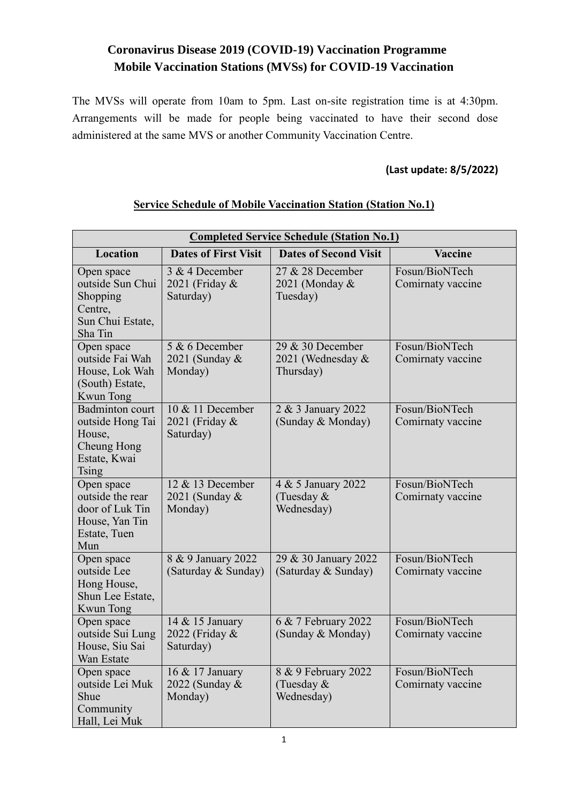# **Coronavirus Disease 2019 (COVID-19) Vaccination Programme Mobile Vaccination Stations (MVSs) for COVID-19 Vaccination**

The MVSs will operate from 10am to 5pm. Last on-site registration time is at 4:30pm. Arrangements will be made for people being vaccinated to have their second dose administered at the same MVS or another Community Vaccination Centre.

### **(Last update: 8/5/2022)**

| <b>Completed Service Schedule (Station No.1)</b>                                                    |                                                 |                                                      |                                     |  |
|-----------------------------------------------------------------------------------------------------|-------------------------------------------------|------------------------------------------------------|-------------------------------------|--|
| Location                                                                                            | <b>Dates of First Visit</b>                     | <b>Dates of Second Visit</b>                         | Vaccine                             |  |
| Open space<br>outside Sun Chui<br>Shopping<br>Centre,<br>Sun Chui Estate,<br>Sha Tin                | 3 & 4 December<br>2021 (Friday &<br>Saturday)   | 27 & 28 December<br>2021 (Monday &<br>Tuesday)       | Fosun/BioNTech<br>Comirnaty vaccine |  |
| Open space<br>outside Fai Wah<br>House, Lok Wah<br>(South) Estate,<br>Kwun Tong                     | $5 & 6$ December<br>2021 (Sunday &<br>Monday)   | $29 & 30$ December<br>2021 (Wednesday &<br>Thursday) | Fosun/BioNTech<br>Comirnaty vaccine |  |
| <b>Badminton</b> court<br>outside Hong Tai<br>House,<br>Cheung Hong<br>Estate, Kwai<br><b>Tsing</b> | 10 & 11 December<br>2021 (Friday &<br>Saturday) | 2 & 3 January 2022<br>(Sunday & Monday)              | Fosun/BioNTech<br>Comirnaty vaccine |  |
| Open space<br>outside the rear<br>door of Luk Tin<br>House, Yan Tin<br>Estate, Tuen<br>Mun          | 12 & 13 December<br>2021 (Sunday &<br>Monday)   | 4 & 5 January 2022<br>(Tuesday &<br>Wednesday)       | Fosun/BioNTech<br>Comirnaty vaccine |  |
| Open space<br>outside Lee<br>Hong House,<br>Shun Lee Estate,<br>Kwun Tong                           | 8 & 9 January 2022<br>(Saturday & Sunday)       | 29 & 30 January 2022<br>(Saturday & Sunday)          | Fosun/BioNTech<br>Comirnaty vaccine |  |
| Open space<br>outside Sui Lung<br>House, Siu Sai<br>Wan Estate                                      | 14 & 15 January<br>2022 (Friday &<br>Saturday)  | 6 & 7 February 2022<br>(Sunday & Monday)             | Fosun/BioNTech<br>Comirnaty vaccine |  |
| Open space<br>outside Lei Muk<br>Shue<br>Community<br>Hall, Lei Muk                                 | 16 & 17 January<br>2022 (Sunday &<br>Monday)    | 8 & 9 February 2022<br>(Tuesday &<br>Wednesday)      | Fosun/BioNTech<br>Comirnaty vaccine |  |

#### **Service Schedule of Mobile Vaccination Station (Station No.1)**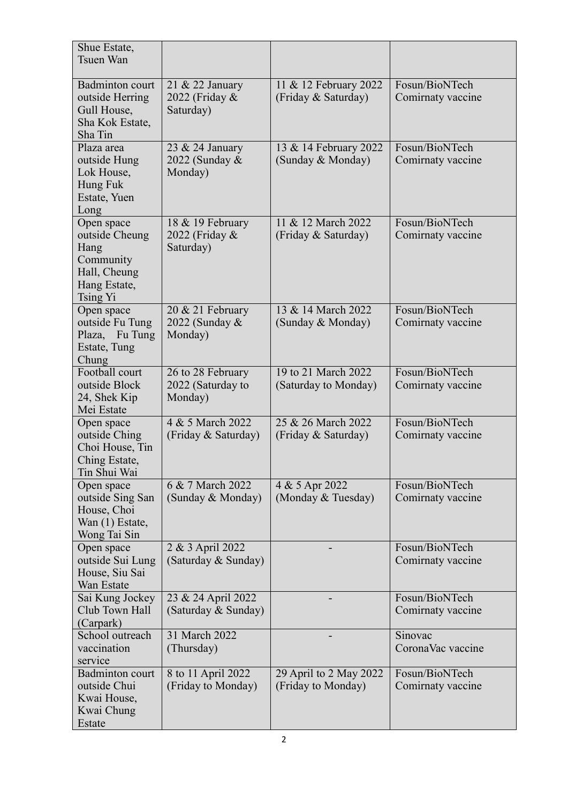| Shue Estate,<br>Tsuen Wan                                                                     |                                                   |                                              |                                     |
|-----------------------------------------------------------------------------------------------|---------------------------------------------------|----------------------------------------------|-------------------------------------|
| Badminton court<br>outside Herring<br>Gull House,<br>Sha Kok Estate,<br>Sha Tin               | 21 & 22 January<br>2022 (Friday &<br>Saturday)    | 11 & 12 February 2022<br>(Friday & Saturday) | Fosun/BioNTech<br>Comirnaty vaccine |
| Plaza area<br>outside Hung<br>Lok House,<br>Hung Fuk<br>Estate, Yuen<br>Long                  | 23 & 24 January<br>2022 (Sunday &<br>Monday)      | 13 & 14 February 2022<br>(Sunday & Monday)   | Fosun/BioNTech<br>Comirnaty vaccine |
| Open space<br>outside Cheung<br>Hang<br>Community<br>Hall, Cheung<br>Hang Estate,<br>Tsing Yi | 18 & 19 February<br>2022 (Friday &<br>Saturday)   | 11 & 12 March 2022<br>(Friday & Saturday)    | Fosun/BioNTech<br>Comirnaty vaccine |
| Open space<br>outside Fu Tung<br>Plaza, Fu Tung<br>Estate, Tung<br>Chung                      | 20 & 21 February<br>2022 (Sunday &<br>Monday)     | 13 & 14 March 2022<br>(Sunday & Monday)      | Fosun/BioNTech<br>Comirnaty vaccine |
| Football court<br>outside Block<br>24, Shek Kip<br>Mei Estate                                 | 26 to 28 February<br>2022 (Saturday to<br>Monday) | 19 to 21 March 2022<br>(Saturday to Monday)  | Fosun/BioNTech<br>Comirnaty vaccine |
| Open space<br>outside Ching<br>Choi House, Tin<br>Ching Estate,<br>Tin Shui Wai               | 4 & 5 March 2022<br>(Friday & Saturday)           | 25 & 26 March 2022<br>(Friday & Saturday)    | Fosun/BioNTech<br>Comirnaty vaccine |
| Open space<br>outside Sing San<br>House, Choi<br>Wan (1) Estate,<br>Wong Tai Sin              | 6 & 7 March 2022<br>(Sunday & Monday)             | 4 & 5 Apr 2022<br>(Monday & Tuesday)         | Fosun/BioNTech<br>Comirnaty vaccine |
| Open space<br>outside Sui Lung<br>House, Siu Sai<br><b>Wan Estate</b>                         | 2 & 3 April 2022<br>(Saturday & Sunday)           |                                              | Fosun/BioNTech<br>Comirnaty vaccine |
| Sai Kung Jockey<br>Club Town Hall<br>(Carpark)                                                | 23 & 24 April 2022<br>(Saturday & Sunday)         |                                              | Fosun/BioNTech<br>Comirnaty vaccine |
| School outreach<br>vaccination<br>service                                                     | 31 March 2022<br>(Thursday)                       |                                              | Sinovac<br>CoronaVac vaccine        |
| Badminton court<br>outside Chui<br>Kwai House,<br>Kwai Chung<br>Estate                        | 8 to 11 April 2022<br>(Friday to Monday)          | 29 April to 2 May 2022<br>(Friday to Monday) | Fosun/BioNTech<br>Comirnaty vaccine |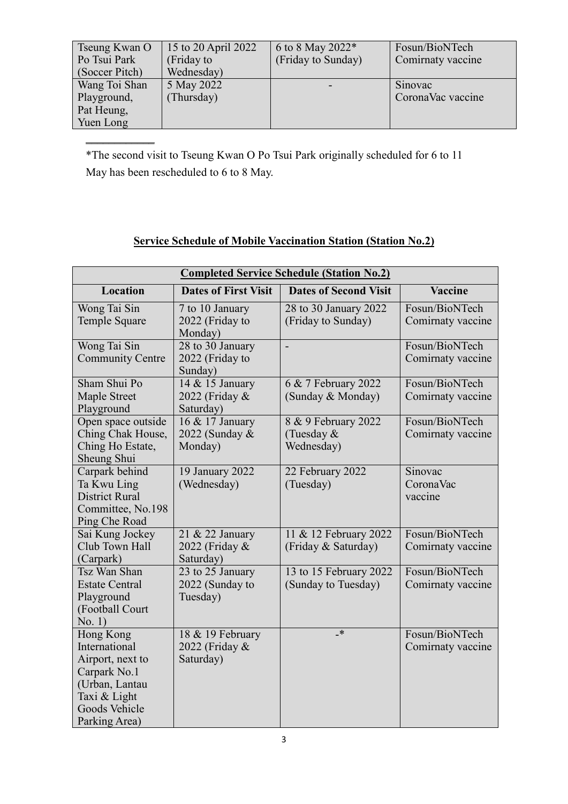| Tseung Kwan O<br>Po Tsui Park<br>(Soccer Pitch) | 15 to 20 April 2022<br>(Friday to<br>Wednesday) | 6 to 8 May 2022*<br>(Friday to Sunday) | Fosun/BioNTech<br>Comirnaty vaccine |
|-------------------------------------------------|-------------------------------------------------|----------------------------------------|-------------------------------------|
| Wang Toi Shan                                   | 5 May 2022                                      |                                        | Sinovac                             |
| Playground,                                     | (Thursday)                                      |                                        | CoronaVac vaccine                   |
| Pat Heung,                                      |                                                 |                                        |                                     |
| Yuen Long                                       |                                                 |                                        |                                     |

\*The second visit to Tseung Kwan O Po Tsui Park originally scheduled for 6 to 11 May has been rescheduled to 6 to 8 May.

 $\frac{1}{2}$ 

## **Service Schedule of Mobile Vaccination Station (Station No.2)**

| <b>Completed Service Schedule (Station No.2)</b>                                                                                   |                                                              |                                                   |                                     |  |
|------------------------------------------------------------------------------------------------------------------------------------|--------------------------------------------------------------|---------------------------------------------------|-------------------------------------|--|
| Location                                                                                                                           | <b>Dates of First Visit</b>                                  | <b>Dates of Second Visit</b>                      | <b>Vaccine</b>                      |  |
| Wong Tai Sin<br>Temple Square                                                                                                      | 7 to 10 January<br>2022 (Friday to<br>Monday)                | 28 to 30 January 2022<br>(Friday to Sunday)       | Fosun/BioNTech<br>Comirnaty vaccine |  |
| Wong Tai Sin<br><b>Community Centre</b>                                                                                            | 28 to 30 January<br>2022 (Friday to<br>Sunday)               | $\overline{a}$                                    | Fosun/BioNTech<br>Comirnaty vaccine |  |
| Sham Shui Po<br>Maple Street<br>Playground                                                                                         | 14 & 15 January<br>2022 (Friday &<br>Saturday)               | 6 & 7 February 2022<br>(Sunday & Monday)          | Fosun/BioNTech<br>Comirnaty vaccine |  |
| Open space outside<br>Ching Chak House,<br>Ching Ho Estate,<br>Sheung Shui                                                         | 16 & 17 January<br>2022 (Sunday &<br>Monday)                 | 8 & 9 February 2022<br>(Tuesday $&$<br>Wednesday) | Fosun/BioNTech<br>Comirnaty vaccine |  |
| Carpark behind<br>Ta Kwu Ling<br><b>District Rural</b><br>Committee, No.198<br>Ping Che Road                                       | 19 January 2022<br>(Wednesday)                               | 22 February 2022<br>(Tuesday)                     | Sinovac<br>CoronaVac<br>vaccine     |  |
| Sai Kung Jockey<br>Club Town Hall<br>(Carpark)                                                                                     | 21 & 22 January<br>2022 (Friday &<br>Saturday)               | 11 & 12 February 2022<br>(Friday & Saturday)      | Fosun/BioNTech<br>Comirnaty vaccine |  |
| Tsz Wan Shan<br><b>Estate Central</b><br>Playground<br>(Football Court<br>No. 1)                                                   | $\overline{23}$ to 25 January<br>2022 (Sunday to<br>Tuesday) | 13 to 15 February 2022<br>(Sunday to Tuesday)     | Fosun/BioNTech<br>Comirnaty vaccine |  |
| Hong Kong<br>International<br>Airport, next to<br>Carpark No.1<br>(Urban, Lantau<br>Taxi & Light<br>Goods Vehicle<br>Parking Area) | 18 & 19 February<br>2022 (Friday &<br>Saturday)              | $\cdot^*$                                         | Fosun/BioNTech<br>Comirnaty vaccine |  |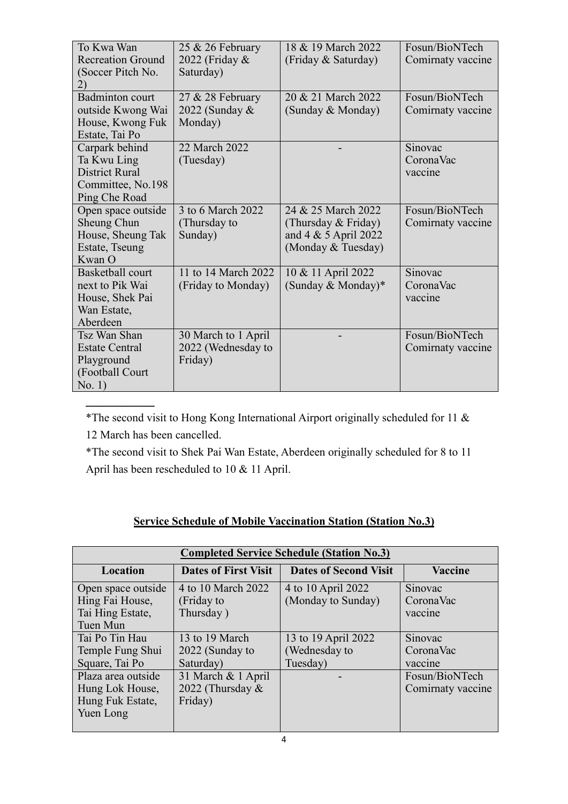| To Kwa Wan               | 25 & 26 February    | 18 & 19 March 2022      | Fosun/BioNTech    |
|--------------------------|---------------------|-------------------------|-------------------|
| <b>Recreation Ground</b> | 2022 (Friday &      | (Friday & Saturday)     | Comirnaty vaccine |
| (Soccer Pitch No.        | Saturday)           |                         |                   |
| 2)                       |                     |                         |                   |
| <b>Badminton</b> court   | $27 & 28$ February  | 20 & 21 March 2022      | Fosun/BioNTech    |
| outside Kwong Wai        | 2022 (Sunday &      | (Sunday & Monday)       | Comirnaty vaccine |
| House, Kwong Fuk         | Monday)             |                         |                   |
| Estate, Tai Po           |                     |                         |                   |
| Carpark behind           | 22 March 2022       |                         | Sinovac           |
| Ta Kwu Ling              | (Tuesday)           |                         | CoronaVac         |
| <b>District Rural</b>    |                     |                         | vaccine           |
| Committee, No.198        |                     |                         |                   |
| Ping Che Road            |                     |                         |                   |
| Open space outside       | 3 to 6 March 2022   | 24 & 25 March 2022      | Fosun/BioNTech    |
| Sheung Chun              | (Thursday to        | (Thursday & Friday)     | Comirnaty vaccine |
| House, Sheung Tak        | Sunday)             | and $4 \& 5$ April 2022 |                   |
| Estate, Tseung           |                     | (Monday & Tuesday)      |                   |
| Kwan O                   |                     |                         |                   |
| Basketball court         | 11 to 14 March 2022 | 10 & 11 April 2022      | Sinovac           |
| next to Pik Wai          | (Friday to Monday)  | (Sunday & Monday)*      | CoronaVac         |
| House, Shek Pai          |                     |                         | vaccine           |
| Wan Estate,              |                     |                         |                   |
| Aberdeen                 |                     |                         |                   |
| Tsz Wan Shan             | 30 March to 1 April |                         | Fosun/BioNTech    |
| <b>Estate Central</b>    | 2022 (Wednesday to  |                         | Comirnaty vaccine |
| Playground               | Friday)             |                         |                   |
| (Football Court          |                     |                         |                   |
| No. 1)                   |                     |                         |                   |

\*The second visit to Hong Kong International Airport originally scheduled for 11 & 12 March has been cancelled.

 $\frac{1}{2}$ 

\*The second visit to Shek Pai Wan Estate, Aberdeen originally scheduled for 8 to 11 April has been rescheduled to 10 & 11 April.

|  | <b>Service Schedule of Mobile Vaccination Station (Station No.3)</b> |  |  |
|--|----------------------------------------------------------------------|--|--|

| <b>Completed Service Schedule (Station No.3)</b> |                             |                              |                   |  |
|--------------------------------------------------|-----------------------------|------------------------------|-------------------|--|
| Location                                         | <b>Dates of First Visit</b> | <b>Dates of Second Visit</b> | <b>Vaccine</b>    |  |
| Open space outside                               | 4 to 10 March 2022          | 4 to 10 April 2022           | Sinovac           |  |
| Hing Fai House,                                  | (Friday to                  | (Monday to Sunday)           | CoronaVac         |  |
| Tai Hing Estate,                                 | Thursday)                   |                              | vaccine           |  |
| Tuen Mun                                         |                             |                              |                   |  |
| Tai Po Tin Hau                                   | 13 to 19 March              | 13 to 19 April 2022          | Sinovac           |  |
| Temple Fung Shui                                 | 2022 (Sunday to             | (Wednesday to                | CoronaVac         |  |
| Square, Tai Po                                   | Saturday)                   | Tuesday)                     | vaccine           |  |
| Plaza area outside                               | 31 March & 1 April          |                              | Fosun/BioNTech    |  |
| Hung Lok House,                                  | 2022 (Thursday $&$          |                              | Comirnaty vaccine |  |
| Hung Fuk Estate,                                 | Friday)                     |                              |                   |  |
| Yuen Long                                        |                             |                              |                   |  |
|                                                  |                             |                              |                   |  |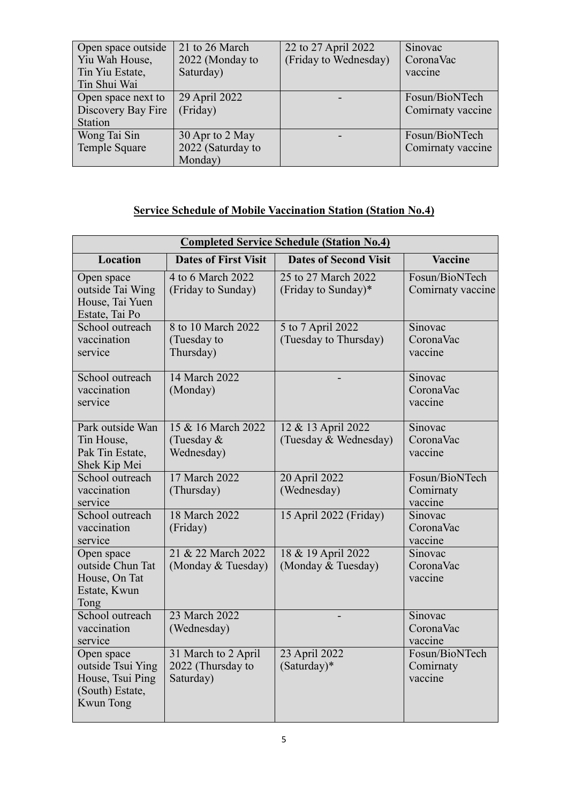| Open space outside | 21 to 26 March    | 22 to 27 April 2022   | Sinovac           |
|--------------------|-------------------|-----------------------|-------------------|
| Yiu Wah House,     | 2022 (Monday to   | (Friday to Wednesday) | CoronaVac         |
| Tin Yiu Estate,    | Saturday)         |                       | vaccine           |
| Tin Shui Wai       |                   |                       |                   |
| Open space next to | 29 April 2022     |                       | Fosun/BioNTech    |
| Discovery Bay Fire | (Friday)          |                       | Comirnaty vaccine |
| <b>Station</b>     |                   |                       |                   |
| Wong Tai Sin       | 30 Apr to 2 May   |                       | Fosun/BioNTech    |
| Temple Square      | 2022 (Saturday to |                       | Comirnaty vaccine |
|                    | Monday)           |                       |                   |

## **Service Schedule of Mobile Vaccination Station (Station No.4)**

| <b>Completed Service Schedule (Station No.4)</b>                                    |                                                       |                                             |                                        |  |
|-------------------------------------------------------------------------------------|-------------------------------------------------------|---------------------------------------------|----------------------------------------|--|
| <b>Location</b>                                                                     | <b>Dates of First Visit</b>                           | <b>Dates of Second Visit</b>                | Vaccine                                |  |
| Open space<br>outside Tai Wing<br>House, Tai Yuen<br>Estate, Tai Po                 | 4 to 6 March 2022<br>(Friday to Sunday)               | 25 to 27 March 2022<br>(Friday to Sunday)*  | Fosun/BioNTech<br>Comirnaty vaccine    |  |
| School outreach<br>vaccination<br>service                                           | 8 to 10 March 2022<br>(Tuesday to<br>Thursday)        | 5 to 7 April 2022<br>(Tuesday to Thursday)  | Sinovac<br>CoronaVac<br>vaccine        |  |
| School outreach<br>vaccination<br>service                                           | 14 March 2022<br>(Monday)                             |                                             | Sinovac<br>CoronaVac<br>vaccine        |  |
| Park outside Wan<br>Tin House,<br>Pak Tin Estate,<br>Shek Kip Mei                   | 15 & 16 March 2022<br>(Tuesday $&$<br>Wednesday)      | 12 & 13 April 2022<br>(Tuesday & Wednesday) | Sinovac<br>CoronaVac<br>vaccine        |  |
| School outreach<br>vaccination<br>service                                           | 17 March 2022<br>(Thursday)                           | 20 April 2022<br>(Wednesday)                | Fosun/BioNTech<br>Comirnaty<br>vaccine |  |
| School outreach<br>vaccination<br>service                                           | 18 March 2022<br>(Friday)                             | 15 April 2022 (Friday)                      | Sinovac<br>CoronaVac<br>vaccine        |  |
| Open space<br>outside Chun Tat<br>House, On Tat<br>Estate, Kwun<br>Tong             | 21 & 22 March 2022<br>(Monday & Tuesday)              | 18 & 19 April 2022<br>(Monday & Tuesday)    | Sinovac<br>CoronaVac<br>vaccine        |  |
| School outreach<br>vaccination<br>service                                           | 23 March 2022<br>(Wednesday)                          |                                             | Sinovac<br>CoronaVac<br>vaccine        |  |
| Open space<br>outside Tsui Ying<br>House, Tsui Ping<br>(South) Estate,<br>Kwun Tong | 31 March to 2 April<br>2022 (Thursday to<br>Saturday) | 23 April 2022<br>(Saturday)*                | Fosun/BioNTech<br>Comirnaty<br>vaccine |  |